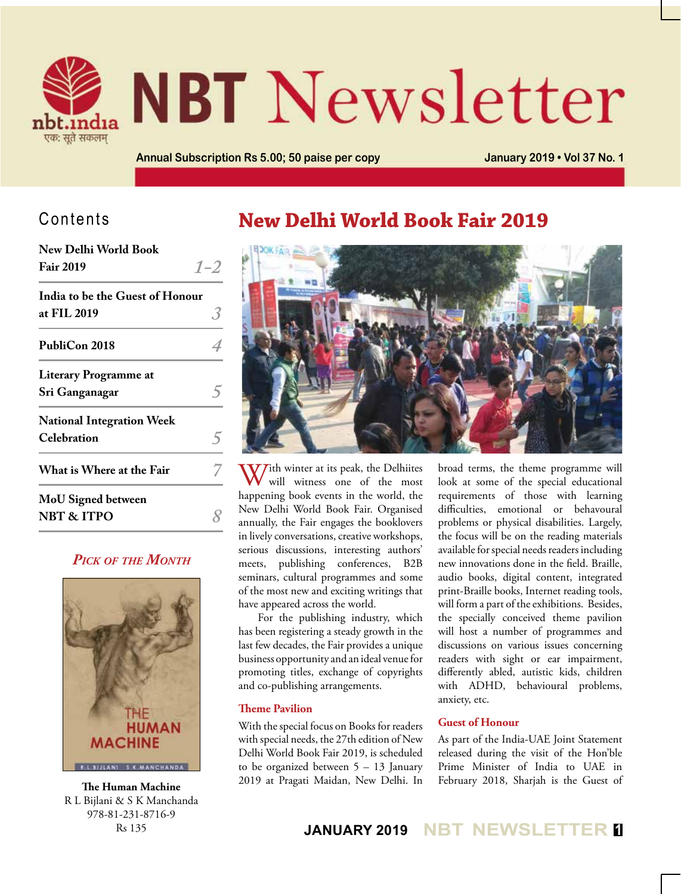

# **NBT** Newsletter

**Annual Subscription Rs 5.00; 50 paise per copy January 2019 • Vol 37 No. 1**

## Contents

| <b>New Delhi World Book</b>      |         |  |  |  |
|----------------------------------|---------|--|--|--|
| <b>Fair 2019</b>                 | $1 - 2$ |  |  |  |
| India to be the Guest of Honour  |         |  |  |  |
| at FIL 2019                      | 3       |  |  |  |
| PubliCon 2018                    |         |  |  |  |
| <b>Literary Programme at</b>     |         |  |  |  |
| Sri Ganganagar                   |         |  |  |  |
| <b>National Integration Week</b> |         |  |  |  |
| Celebration                      |         |  |  |  |
| What is Where at the Fair        |         |  |  |  |
| <b>MoU</b> Signed between        |         |  |  |  |
| <b>NBT &amp; ITPO</b>            |         |  |  |  |

## *Pick of the Month*



R L Bijlani & S K Manchanda 978-81-231-8716-9 Rs 135

## **New Delhi World Book Fair 2019**



With winter at its peak, the Delhiites<br>will witness one of the most happening book events in the world, the New Delhi World Book Fair. Organised annually, the Fair engages the booklovers in lively conversations, creative workshops, serious discussions, interesting authors' meets, publishing conferences, B2B seminars, cultural programmes and some of the most new and exciting writings that have appeared across the world.

For the publishing industry, which has been registering a steady growth in the last few decades, the Fair provides a unique business opportunity and an ideal venue for promoting titles, exchange of copyrights and co-publishing arrangements.

#### **Theme Pavilion**

With the special focus on Books for readers with special needs, the 27th edition of New Delhi World Book Fair 2019, is scheduled to be organized between 5 – 13 January 2019 at Pragati Maidan, New Delhi. In broad terms, the theme programme will look at some of the special educational requirements of those with learning difficulties, emotional or behavoural problems or physical disabilities. Largely, the focus will be on the reading materials available for special needs readers including new innovations done in the field. Braille, audio books, digital content, integrated print-Braille books, Internet reading tools, will form a part of the exhibitions. Besides, the specially conceived theme pavilion will host a number of programmes and discussions on various issues concerning readers with sight or ear impairment, differently abled, autistic kids, children with ADHD, behavioural problems, anxiety, etc.

## **Guest of Honour**

As part of the India-UAE Joint Statement released during the visit of the Hon'ble Prime Minister of India to UAE in February 2018, Sharjah is the Guest of **The Human Machine**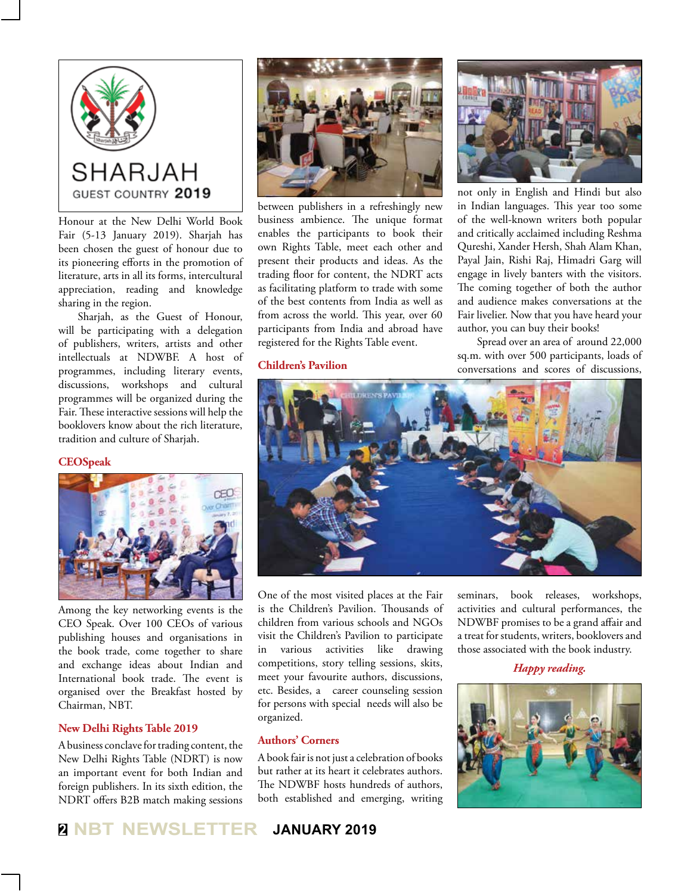

Honour at the New Delhi World Book Fair (5-13 January 2019). Sharjah has been chosen the guest of honour due to its pioneering efforts in the promotion of literature, arts in all its forms, intercultural appreciation, reading and knowledge sharing in the region.

Sharjah, as the Guest of Honour, will be participating with a delegation of publishers, writers, artists and other intellectuals at NDWBF. A host of programmes, including literary events, discussions, workshops and cultural programmes will be organized during the Fair. These interactive sessions will help the booklovers know about the rich literature, tradition and culture of Sharjah.

#### **CEOSpeak**



Among the key networking events is the CEO Speak. Over 100 CEOs of various publishing houses and organisations in the book trade, come together to share and exchange ideas about Indian and International book trade. The event is organised over the Breakfast hosted by Chairman, NBT.

#### **New Delhi Rights Table 2019**

A business conclave for trading content, the New Delhi Rights Table (NDRT) is now an important event for both Indian and foreign publishers. In its sixth edition, the NDRT offers B2B match making sessions



between publishers in a refreshingly new business ambience. The unique format enables the participants to book their own Rights Table, meet each other and present their products and ideas. As the trading floor for content, the NDRT acts as facilitating platform to trade with some of the best contents from India as well as from across the world. This year, over 60 participants from India and abroad have registered for the Rights Table event.

#### **Children's Pavilion**



not only in English and Hindi but also in Indian languages. This year too some of the well-known writers both popular and critically acclaimed including Reshma Qureshi, Xander Hersh, Shah Alam Khan, Payal Jain, Rishi Raj, Himadri Garg will engage in lively banters with the visitors. The coming together of both the author and audience makes conversations at the Fair livelier. Now that you have heard your author, you can buy their books!

Spread over an area of around 22,000 sq.m. with over 500 participants, loads of conversations and scores of discussions,



One of the most visited places at the Fair is the Children's Pavilion. Thousands of children from various schools and NGOs visit the Children's Pavilion to participate in various activities like drawing competitions, story telling sessions, skits, meet your favourite authors, discussions, etc. Besides, a career counseling session for persons with special needs will also be organized.

#### **Authors' Corners**

A book fair is not just a celebration of books but rather at its heart it celebrates authors. The NDWBF hosts hundreds of authors, both established and emerging, writing seminars, book releases, workshops, activities and cultural performances, the NDWBF promises to be a grand affair and a treat for students, writers, booklovers and those associated with the book industry.

*Happy reading.*

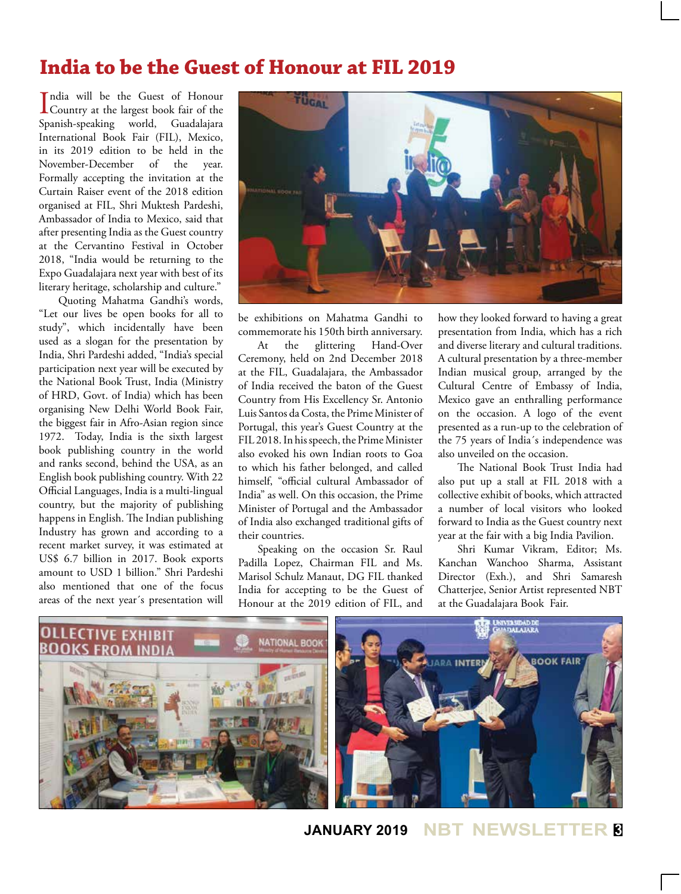## **India to be the Guest of Honour at FIL 2019**

India will be the Guest of Honour<br>Country at the largest book fair of the ndia will be the Guest of Honour Spanish-speaking world, Guadalajara International Book Fair (FIL), Mexico, in its 2019 edition to be held in the November-December of the year. Formally accepting the invitation at the Curtain Raiser event of the 2018 edition organised at FIL, Shri Muktesh Pardeshi, Ambassador of India to Mexico, said that after presenting India as the Guest country at the Cervantino Festival in October 2018, "India would be returning to the Expo Guadalajara next year with best of its literary heritage, scholarship and culture."

Quoting Mahatma Gandhi's words, "Let our lives be open books for all to study", which incidentally have been used as a slogan for the presentation by India, Shri Pardeshi added, "India's special participation next year will be executed by the National Book Trust, India (Ministry of HRD, Govt. of India) which has been organising New Delhi World Book Fair, the biggest fair in Afro-Asian region since 1972. Today, India is the sixth largest book publishing country in the world and ranks second, behind the USA, as an English book publishing country. With 22 Official Languages, India is a multi-lingual country, but the majority of publishing happens in English. The Indian publishing Industry has grown and according to a recent market survey, it was estimated at US\$ 6.7 billion in 2017. Book exports amount to USD 1 billion." Shri Pardeshi also mentioned that one of the focus areas of the next year´s presentation will



be exhibitions on Mahatma Gandhi to commemorate his 150th birth anniversary.

At the glittering Hand-Over Ceremony, held on 2nd December 2018 at the FIL, Guadalajara, the Ambassador of India received the baton of the Guest Country from His Excellency Sr. Antonio Luis Santos da Costa, the Prime Minister of Portugal, this year's Guest Country at the FIL 2018. In his speech, the Prime Minister also evoked his own Indian roots to Goa to which his father belonged, and called himself, "official cultural Ambassador of India" as well. On this occasion, the Prime Minister of Portugal and the Ambassador of India also exchanged traditional gifts of their countries.

Speaking on the occasion Sr. Raul Padilla Lopez, Chairman FIL and Ms. Marisol Schulz Manaut, DG FIL thanked India for accepting to be the Guest of Honour at the 2019 edition of FIL, and

how they looked forward to having a great presentation from India, which has a rich and diverse literary and cultural traditions. A cultural presentation by a three-member Indian musical group, arranged by the Cultural Centre of Embassy of India, Mexico gave an enthralling performance on the occasion. A logo of the event presented as a run-up to the celebration of the 75 years of India´s independence was also unveiled on the occasion.

The National Book Trust India had also put up a stall at FIL 2018 with a collective exhibit of books, which attracted a number of local visitors who looked forward to India as the Guest country next year at the fair with a big India Pavilion.

Shri Kumar Vikram, Editor; Ms. Kanchan Wanchoo Sharma, Assistant Director (Exh.), and Shri Samaresh Chatterjee, Senior Artist represented NBT at the Guadalajara Book Fair.



## **JANUARY 2019 NBT NEWSLETTER <sup>3</sup>**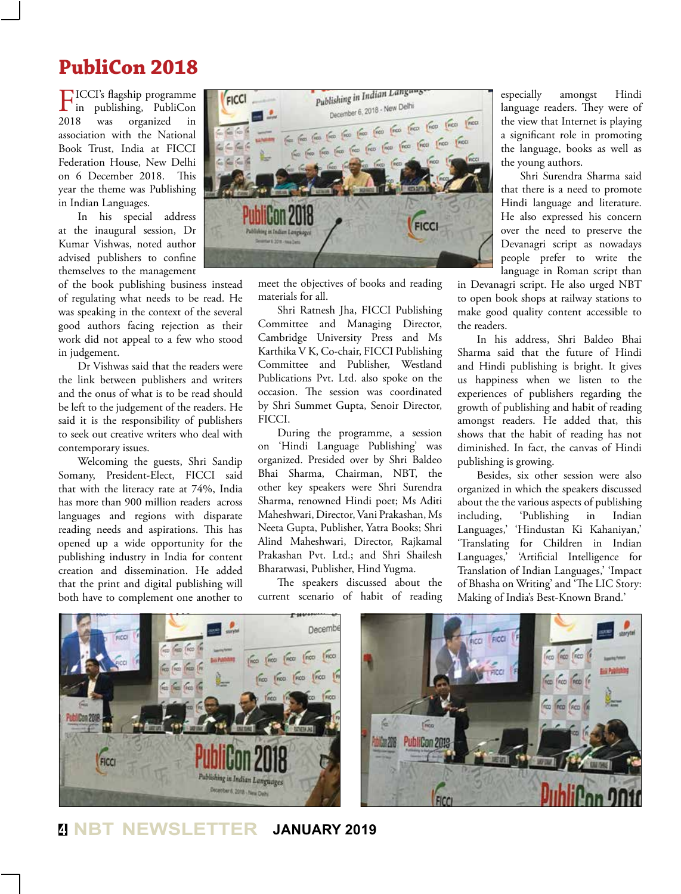## **PubliCon 2018**

FICCI's flagship programme in publishing, PubliCon 2018 was organized in association with the National Book Trust, India at FICCI Federation House, New Delhi on 6 December 2018. This year the theme was Publishing in Indian Languages.

In his special address at the inaugural session, Dr Kumar Vishwas, noted author advised publishers to confine themselves to the management

of the book publishing business instead of regulating what needs to be read. He was speaking in the context of the several good authors facing rejection as their work did not appeal to a few who stood in judgement.

Dr Vishwas said that the readers were the link between publishers and writers and the onus of what is to be read should be left to the judgement of the readers. He said it is the responsibility of publishers to seek out creative writers who deal with contemporary issues.

Welcoming the guests, Shri Sandip Somany, President-Elect, FICCI said that with the literacy rate at 74%, India has more than 900 million readers across languages and regions with disparate reading needs and aspirations. This has opened up a wide opportunity for the publishing industry in India for content creation and dissemination. He added that the print and digital publishing will both have to complement one another to



meet the objectives of books and reading materials for all.

Shri Ratnesh Jha, FICCI Publishing Committee and Managing Director, Cambridge University Press and Ms Karthika V K, Co-chair, FICCI Publishing Committee and Publisher, Westland Publications Pvt. Ltd. also spoke on the occasion. The session was coordinated by Shri Summet Gupta, Senoir Director, FICCI.

During the programme, a session on 'Hindi Language Publishing' was organized. Presided over by Shri Baldeo Bhai Sharma, Chairman, NBT, the other key speakers were Shri Surendra Sharma, renowned Hindi poet; Ms Aditi Maheshwari, Director, Vani Prakashan, Ms Neeta Gupta, Publisher, Yatra Books; Shri Alind Maheshwari, Director, Rajkamal Prakashan Pvt. Ltd.; and Shri Shailesh Bharatwasi, Publisher, Hind Yugma.

The speakers discussed about the current scenario of habit of reading especially amongst Hindi language readers. They were of the view that Internet is playing a significant role in promoting the language, books as well as the young authors.

Shri Surendra Sharma said that there is a need to promote Hindi language and literature. He also expressed his concern over the need to preserve the Devanagri script as nowadays people prefer to write the language in Roman script than

in Devanagri script. He also urged NBT to open book shops at railway stations to make good quality content accessible to the readers.

In his address, Shri Baldeo Bhai Sharma said that the future of Hindi and Hindi publishing is bright. It gives us happiness when we listen to the experiences of publishers regarding the growth of publishing and habit of reading amongst readers. He added that, this shows that the habit of reading has not diminished. In fact, the canvas of Hindi publishing is growing.

Besides, six other session were also organized in which the speakers discussed about the the various aspects of publishing including, 'Publishing in Indian Languages,' 'Hindustan Ki Kahaniyan,' 'Translating for Children in Indian Languages,' 'Artificial Intelligence for Translation of Indian Languages,' 'Impact of Bhasha on Writing' and 'The LIC Story: Making of India's Best-Known Brand.'



**<sup>4</sup> NBT NEWSLETTER JANUARY 2019**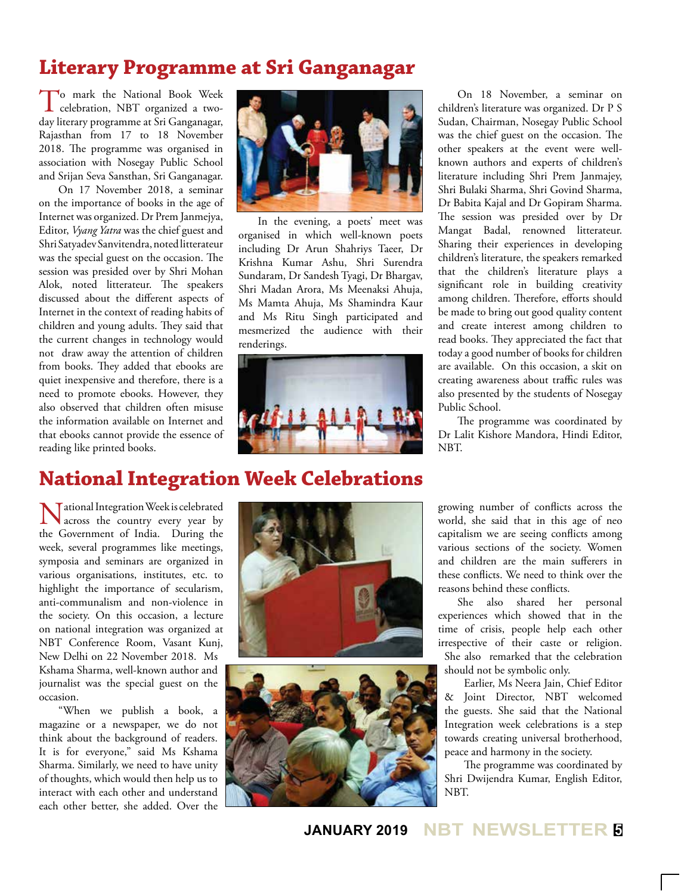## **Literary Programme at Sri Ganganagar**

To mark the National Book Week celebration, NBT organized a twoday literary programme at Sri Ganganagar, Rajasthan from 17 to 18 November 2018. The programme was organised in association with Nosegay Public School and Srijan Seva Sansthan, Sri Ganganagar.

On 17 November 2018, a seminar on the importance of books in the age of Internet was organized. Dr Prem Janmejya, Editor, *Vyang Yatra* was the chief guest and Shri Satyadev Sanvitendra, noted litterateur was the special guest on the occasion. The session was presided over by Shri Mohan Alok, noted litterateur. The speakers discussed about the different aspects of Internet in the context of reading habits of children and young adults. They said that the current changes in technology would not draw away the attention of children from books. They added that ebooks are quiet inexpensive and therefore, there is a need to promote ebooks. However, they also observed that children often misuse the information available on Internet and that ebooks cannot provide the essence of reading like printed books.



In the evening, a poets' meet was organised in which well-known poets including Dr Arun Shahriys Taeer, Dr Krishna Kumar Ashu, Shri Surendra Sundaram, Dr Sandesh Tyagi, Dr Bhargav, Shri Madan Arora, Ms Meenaksi Ahuja, Ms Mamta Ahuja, Ms Shamindra Kaur and Ms Ritu Singh participated and mesmerized the audience with their renderings.



On 18 November, a seminar on children's literature was organized. Dr P S Sudan, Chairman, Nosegay Public School was the chief guest on the occasion. The other speakers at the event were wellknown authors and experts of children's literature including Shri Prem Janmajey, Shri Bulaki Sharma, Shri Govind Sharma, Dr Babita Kajal and Dr Gopiram Sharma. The session was presided over by Dr Mangat Badal, renowned litterateur. Sharing their experiences in developing children's literature, the speakers remarked that the children's literature plays a significant role in building creativity among children. Therefore, efforts should be made to bring out good quality content and create interest among children to read books. They appreciated the fact that today a good number of books for children are available. On this occasion, a skit on creating awareness about traffic rules was also presented by the students of Nosegay Public School.

The programme was coordinated by Dr Lalit Kishore Mandora, Hindi Editor, NBT.

## **National Integration Week Celebrations**

National Integration Week is celebrated across the country every year by the Government of India. During the week, several programmes like meetings, symposia and seminars are organized in various organisations, institutes, etc. to highlight the importance of secularism, anti-communalism and non-violence in the society. On this occasion, a lecture on national integration was organized at NBT Conference Room, Vasant Kunj, New Delhi on 22 November 2018. Ms Kshama Sharma, well-known author and journalist was the special guest on the occasion.

"When we publish a book, a magazine or a newspaper, we do not think about the background of readers. It is for everyone," said Ms Kshama Sharma. Similarly, we need to have unity of thoughts, which would then help us to interact with each other and understand each other better, she added. Over the





growing number of conflicts across the world, she said that in this age of neo capitalism we are seeing conflicts among various sections of the society. Women and children are the main sufferers in these conflicts. We need to think over the reasons behind these conflicts.

She also shared her personal experiences which showed that in the time of crisis, people help each other irrespective of their caste or religion. She also remarked that the celebration should not be symbolic only.

Earlier, Ms Neera Jain, Chief Editor & Joint Director, NBT welcomed the guests. She said that the National Integration week celebrations is a step towards creating universal brotherhood, peace and harmony in the society.

The programme was coordinated by Shri Dwijendra Kumar, English Editor, NBT.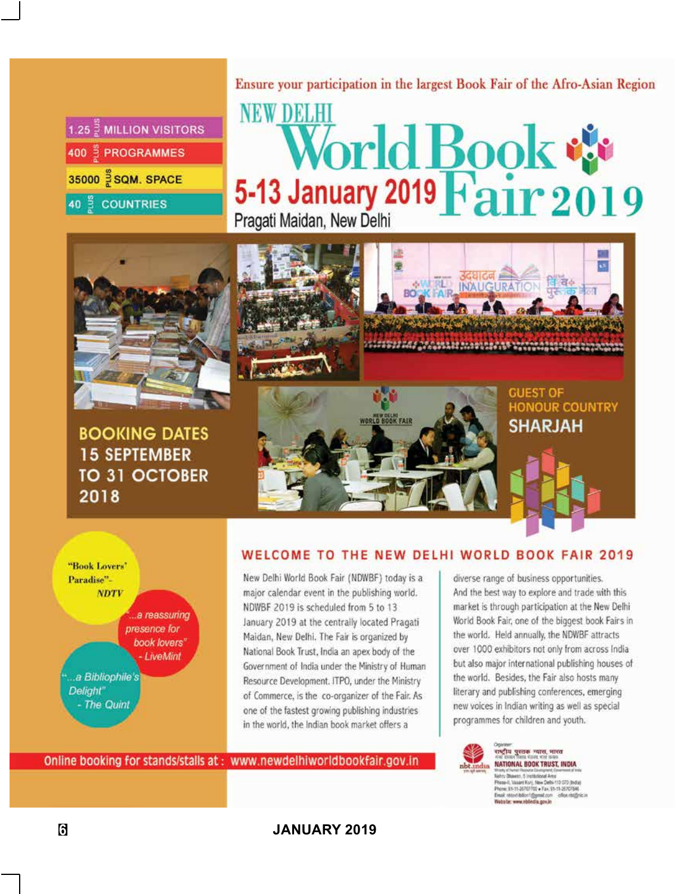| 1.25 $\frac{3}{6}$ MILLION VISITORS |
|-------------------------------------|
| 400 = PROGRAMMES                    |
| 35000 S SQM. SPACE                  |
| 40 <sup>%</sup> COUNTRIES           |

Ensure your participation in the largest Book Fair of the Afro-Asian Region

## **NEW DELHI** World Book Pragati Maidan, New Delhi



**BOOKING DATES 15 SEPTEMBER** TO 31 OCTOBER 2018



**GUEST OF HONOUR COUNTRY SHARJAH** 



## WELCOME TO THE NEW DELHI WORLD BOOK FAIR 2019

New Delhi World Book Fair (NDWBF) today is a major calendar event in the publishing world. NDWBF 2019 is scheduled from 5 to 13 January 2019 at the centrally located Pragati Maidan, New Delhi. The Fair is organized by National Book Trust, India an apex body of the Government of India under the Ministry of Human Resource Development. ITPO, under the Ministry of Commerce, is the co-organizer of the Fair. As one of the fastest growing publishing industries in the world, the Indian book market offers a

Online booking for stands/stalls at: www.newdelhiworldbookfair.gov.in

diverse range of business opportunities. And the best way to explore and trade with this market is through participation at the New Delhi World Book Fair, one of the biggest book Fairs in the world. Held annually, the NDWBF attracts over 1000 exhibitors not only from across India but also major international publishing houses of the world. Besides, the Fair also hosts many literary and publishing conferences, emerging new voices in Indian writing as well as special programmes for children and youth.



राष्ट्रीय पुस्तक न्यास, भारत NATIONAL BOOK TRUST, INDIA .<br>Nehru Bluxesn, 5 Institutional Area<br>Phese-II, Vassert Kunj, New Dette-110 070 (India) Phone: 91-11-36707702 + Fax: 91-11-26707546<br>Email: record-billor 1@ymel.com - office rist@r<br>Website: www.nblindia.gov.in

**6 JANUARY 2019**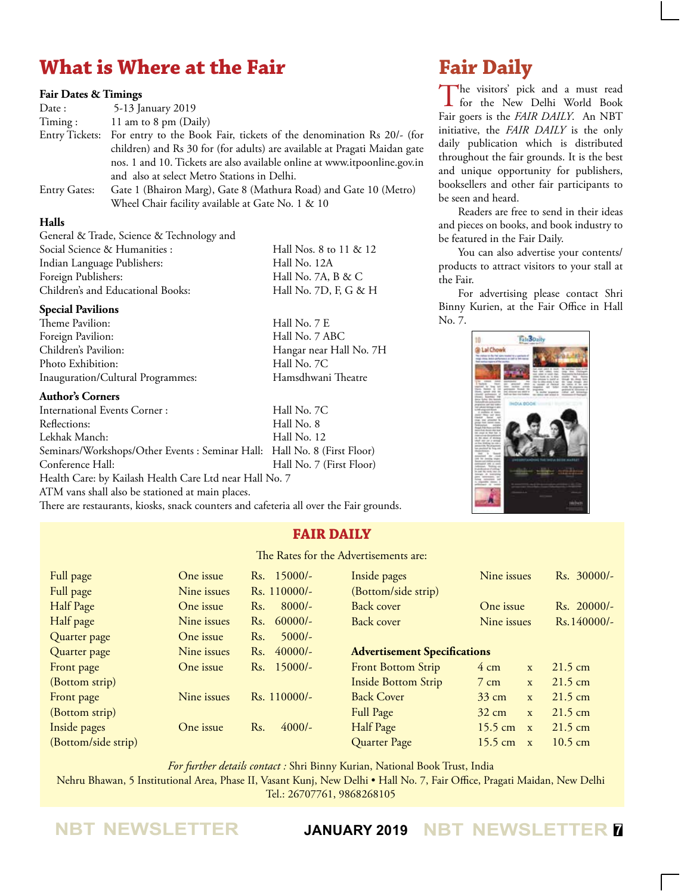## **What is Where at the Fair**

#### **Fair Dates & Timings**

| Date :              | 5-13 January 2019                                                                   |
|---------------------|-------------------------------------------------------------------------------------|
| Timing:             | 11 am to 8 pm (Daily)                                                               |
|                     | Entry Tickets: For entry to the Book Fair, tickets of the denomination Rs 20/- (for |
|                     | children) and Rs 30 for (for adults) are available at Pragati Maidan gate           |
|                     | nos. 1 and 10. Tickets are also available online at www.itpoonline.gov.in           |
|                     | and also at select Metro Stations in Delhi.                                         |
| <b>Entry Gates:</b> | Gate 1 (Bhairon Marg), Gate 8 (Mathura Road) and Gate 10 (Metro)                    |
|                     |                                                                                     |

Wheel Chair facility available at Gate No. 1 & 10

### **Halls**

General & Trade, Science & Technology and Social Science & Humanities : Hall Nos. 8 to 11 & 12 Indian Language Publishers: Hall No. 12A Foreign Publishers: Hall No. 7A, B & C Children's and Educational Books: Hall No. 7D, F, G & H

#### **Special Pavilions**

Theme Pavilion: Hall No. 7 E Foreign Pavilion: Hall No. 7 ABC<br>Children's Pavilion: Hangar near Hal Photo Exhibition: Hall No. 7C Inauguration/Cultural Programmes: Hamsdhwani Theatre

### **Author's Corners**

International Events Corner : Hall No. 7C Reflections: Hall No. 8 Lekhak Manch: Hall No. 12 Seminars/Workshops/Other Events : Seminar Hall: Hall No. 8 (First Floor) Conference Hall: Hall No. 7 (First Floor) Health Care: by Kailash Health Care Ltd near Hall No. 7

ATM vans shall also be stationed at main places.

There are restaurants, kiosks, snack counters and cafeteria all over the Fair grounds.

## **Fair Daily**

Hangar near Hall No. 7H

The Rates for the Advertisements are:

| Full page           | One issue   | Rs. 15000/-      | Inside pages                        | Nine issues       |              | Rs. 30000/-       |
|---------------------|-------------|------------------|-------------------------------------|-------------------|--------------|-------------------|
| Full page           | Nine issues | Rs. 110000/-     | (Bottom/side strip)                 |                   |              |                   |
| Half Page           | One issue   | $8000/-$<br>Rs.  | Back cover                          | One issue         |              | Rs. 20000/-       |
| Half page           | Nine issues | $60000/-$<br>Rs. | Back cover                          | Nine issues       |              | Rs.140000/-       |
| Quarter page        | One issue   | $5000/-$<br>Rs.  |                                     |                   |              |                   |
| Quarter page        | Nine issues | $40000/-$<br>Rs. | <b>Advertisement Specifications</b> |                   |              |                   |
| Front page          | One issue   | Rs. 15000/-      | <b>Front Bottom Strip</b>           | $4 \text{ cm}$    | $\mathbf{x}$ | $21.5 \text{ cm}$ |
| (Bottom strip)      |             |                  | <b>Inside Bottom Strip</b>          | $7 \text{ cm}$    | X            | $21.5 \text{ cm}$ |
| Front page          | Nine issues | Rs. 110000/-     | <b>Back Cover</b>                   | $33 \text{ cm}$   | $\mathbf{x}$ | $21.5 \text{ cm}$ |
| (Bottom strip)      |             |                  | Full Page                           | $32 \text{ cm}$   | $\mathbf{x}$ | $21.5 \text{ cm}$ |
| Inside pages        | One issue   | $4000/-$<br>Rs.  | Half Page                           | $15.5 \text{ cm}$ | $\mathbf{x}$ | $21.5 \text{ cm}$ |
| (Bottom/side strip) |             |                  | Quarter Page                        | $15.5 \text{ cm}$ | $\mathbf{x}$ | $10.5 \text{ cm}$ |

*For further details contact :* Shri Binny Kurian, National Book Trust, India

Nehru Bhawan, 5 Institutional Area, Phase II, Vasant Kunj, New Delhi • Hall No. 7, Fair Office, Pragati Maidan, New Delhi Tel.: 26707761, 9868268105

## **Fair Daily**

The visitors' pick and a must read<br>for the New Delhi World Book Fair goers is the *FAIR DAILY*. An NBT initiative, the *FAIR DAILY* is the only daily publication which is distributed throughout the fair grounds. It is the best and unique opportunity for publishers, booksellers and other fair participants to be seen and heard.

Readers are free to send in their ideas and pieces on books, and book industry to be featured in the Fair Daily.

You can also advertise your contents/ products to attract visitors to your stall at the Fair.

For advertising please contact Shri Binny Kurien, at the Fair Office in Hall No. 7.



**NBT NEWSLETTER JANUARY 2019 NBT NEWSLETTER <sup>7</sup>**